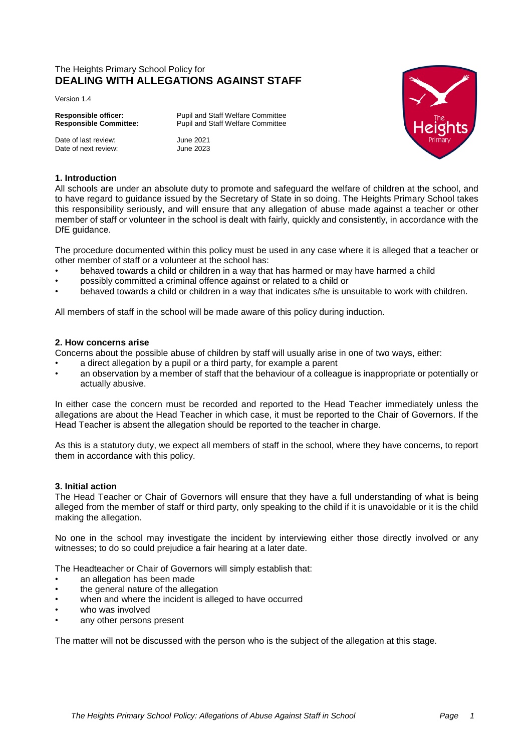# The Heights Primary School Policy for **DEALING WITH ALLEGATIONS AGAINST STAFF**

Version 1.4

Date of last review: June 2021<br>Date of next review: June 2023 Date of next review:

**Responsible officer:** Pupil and Staff Welfare Committee Responsible Committee: Pupil and Staff Welfare Committee **Responsible Committee:** Pupil and Staff Welfare Committee



# **1. Introduction**

All schools are under an absolute duty to promote and safeguard the welfare of children at the school, and to have regard to guidance issued by the Secretary of State in so doing. The Heights Primary School takes this responsibility seriously, and will ensure that any allegation of abuse made against a teacher or other member of staff or volunteer in the school is dealt with fairly, quickly and consistently, in accordance with the DfE guidance.

The procedure documented within this policy must be used in any case where it is alleged that a teacher or other member of staff or a volunteer at the school has:

- behaved towards a child or children in a way that has harmed or may have harmed a child
- possibly committed a criminal offence against or related to a child or
- behaved towards a child or children in a way that indicates s/he is unsuitable to work with children.

All members of staff in the school will be made aware of this policy during induction.

# **2. How concerns arise**

Concerns about the possible abuse of children by staff will usually arise in one of two ways, either:

- a direct allegation by a pupil or a third party, for example a parent
- an observation by a member of staff that the behaviour of a colleague is inappropriate or potentially or actually abusive.

In either case the concern must be recorded and reported to the Head Teacher immediately unless the allegations are about the Head Teacher in which case, it must be reported to the Chair of Governors. If the Head Teacher is absent the allegation should be reported to the teacher in charge.

As this is a statutory duty, we expect all members of staff in the school, where they have concerns, to report them in accordance with this policy.

# **3. Initial action**

The Head Teacher or Chair of Governors will ensure that they have a full understanding of what is being alleged from the member of staff or third party, only speaking to the child if it is unavoidable or it is the child making the allegation.

No one in the school may investigate the incident by interviewing either those directly involved or any witnesses; to do so could prejudice a fair hearing at a later date.

The Headteacher or Chair of Governors will simply establish that:

- an allegation has been made
- the general nature of the allegation
- when and where the incident is alleged to have occurred
- who was involved
- any other persons present

The matter will not be discussed with the person who is the subject of the allegation at this stage.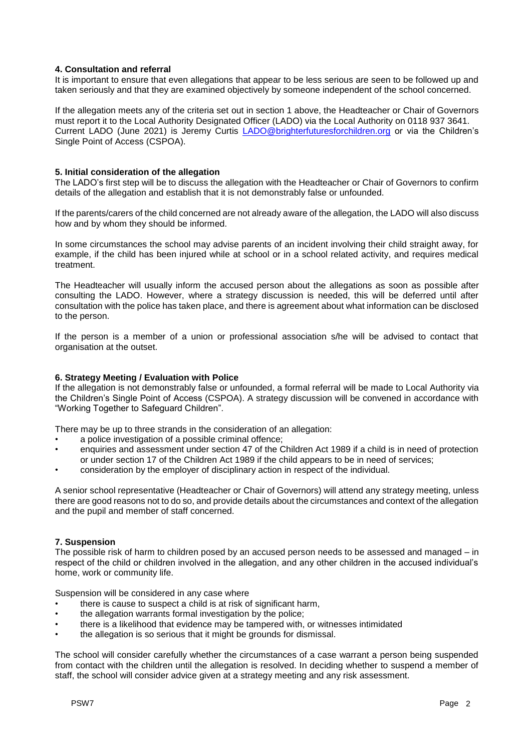# **4. Consultation and referral**

It is important to ensure that even allegations that appear to be less serious are seen to be followed up and taken seriously and that they are examined objectively by someone independent of the school concerned.

If the allegation meets any of the criteria set out in section 1 above, the Headteacher or Chair of Governors must report it to the Local Authority Designated Officer (LADO) via the Local Authority on 0118 937 3641. Current LADO (June 2021) is Jeremy Curtis [LADO@brighterfuturesforchildren.org](mailto:LADO@brighterfuturesforchildren.org) or via the Children's Single Point of Access (CSPOA).

# **5. Initial consideration of the allegation**

The LADO's first step will be to discuss the allegation with the Headteacher or Chair of Governors to confirm details of the allegation and establish that it is not demonstrably false or unfounded.

If the parents/carers of the child concerned are not already aware of the allegation, the LADO will also discuss how and by whom they should be informed.

In some circumstances the school may advise parents of an incident involving their child straight away, for example, if the child has been injured while at school or in a school related activity, and requires medical treatment.

The Headteacher will usually inform the accused person about the allegations as soon as possible after consulting the LADO. However, where a strategy discussion is needed, this will be deferred until after consultation with the police has taken place, and there is agreement about what information can be disclosed to the person.

If the person is a member of a union or professional association s/he will be advised to contact that organisation at the outset.

# **6. Strategy Meeting / Evaluation with Police**

If the allegation is not demonstrably false or unfounded, a formal referral will be made to Local Authority via the Children's Single Point of Access (CSPOA). A strategy discussion will be convened in accordance with "Working Together to Safeguard Children".

There may be up to three strands in the consideration of an allegation:

- a police investigation of a possible criminal offence;
- enquiries and assessment under section 47 of the Children Act 1989 if a child is in need of protection or under section 17 of the Children Act 1989 if the child appears to be in need of services;
- consideration by the employer of disciplinary action in respect of the individual.

A senior school representative (Headteacher or Chair of Governors) will attend any strategy meeting, unless there are good reasons not to do so, and provide details about the circumstances and context of the allegation and the pupil and member of staff concerned.

# **7. Suspension**

The possible risk of harm to children posed by an accused person needs to be assessed and managed – in respect of the child or children involved in the allegation, and any other children in the accused individual's home, work or community life.

Suspension will be considered in any case where

- there is cause to suspect a child is at risk of significant harm,
- the allegation warrants formal investigation by the police;
- there is a likelihood that evidence may be tampered with, or witnesses intimidated
- the allegation is so serious that it might be grounds for dismissal.

The school will consider carefully whether the circumstances of a case warrant a person being suspended from contact with the children until the allegation is resolved. In deciding whether to suspend a member of staff, the school will consider advice given at a strategy meeting and any risk assessment.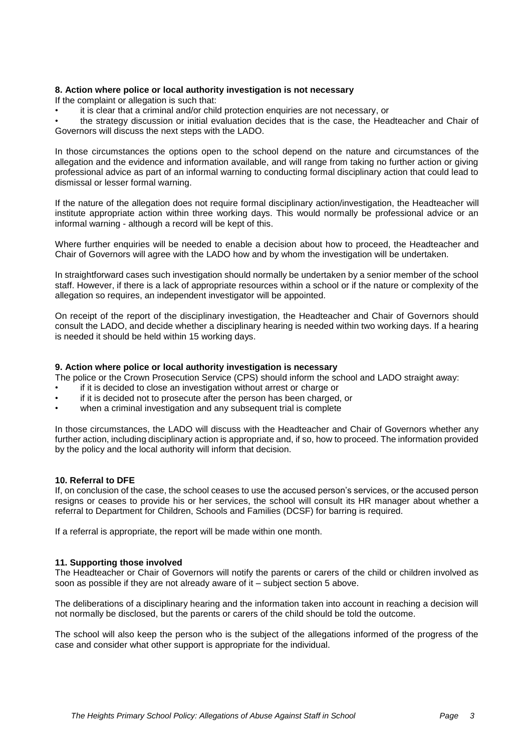# **8. Action where police or local authority investigation is not necessary**

If the complaint or allegation is such that:

• it is clear that a criminal and/or child protection enquiries are not necessary, or

• the strategy discussion or initial evaluation decides that is the case, the Headteacher and Chair of Governors will discuss the next steps with the LADO.

In those circumstances the options open to the school depend on the nature and circumstances of the allegation and the evidence and information available, and will range from taking no further action or giving professional advice as part of an informal warning to conducting formal disciplinary action that could lead to dismissal or lesser formal warning.

If the nature of the allegation does not require formal disciplinary action/investigation, the Headteacher will institute appropriate action within three working days. This would normally be professional advice or an informal warning - although a record will be kept of this.

Where further enquiries will be needed to enable a decision about how to proceed, the Headteacher and Chair of Governors will agree with the LADO how and by whom the investigation will be undertaken.

In straightforward cases such investigation should normally be undertaken by a senior member of the school staff. However, if there is a lack of appropriate resources within a school or if the nature or complexity of the allegation so requires, an independent investigator will be appointed.

On receipt of the report of the disciplinary investigation, the Headteacher and Chair of Governors should consult the LADO, and decide whether a disciplinary hearing is needed within two working days. If a hearing is needed it should be held within 15 working days.

# **9. Action where police or local authority investigation is necessary**

The police or the Crown Prosecution Service (CPS) should inform the school and LADO straight away:

- if it is decided to close an investigation without arrest or charge or
- if it is decided not to prosecute after the person has been charged, or
- when a criminal investigation and any subsequent trial is complete

In those circumstances, the LADO will discuss with the Headteacher and Chair of Governors whether any further action, including disciplinary action is appropriate and, if so, how to proceed. The information provided by the policy and the local authority will inform that decision.

# **10. Referral to DFE**

If, on conclusion of the case, the school ceases to use the accused person's services, or the accused person resigns or ceases to provide his or her services, the school will consult its HR manager about whether a referral to Department for Children, Schools and Families (DCSF) for barring is required.

If a referral is appropriate, the report will be made within one month.

# **11. Supporting those involved**

The Headteacher or Chair of Governors will notify the parents or carers of the child or children involved as soon as possible if they are not already aware of it – subject section 5 above.

The deliberations of a disciplinary hearing and the information taken into account in reaching a decision will not normally be disclosed, but the parents or carers of the child should be told the outcome.

The school will also keep the person who is the subject of the allegations informed of the progress of the case and consider what other support is appropriate for the individual.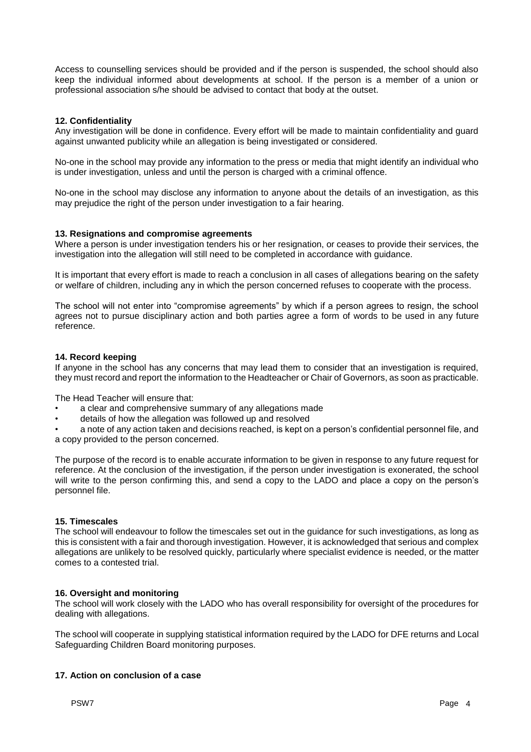Access to counselling services should be provided and if the person is suspended, the school should also keep the individual informed about developments at school. If the person is a member of a union or professional association s/he should be advised to contact that body at the outset.

# **12. Confidentiality**

Any investigation will be done in confidence. Every effort will be made to maintain confidentiality and guard against unwanted publicity while an allegation is being investigated or considered.

No-one in the school may provide any information to the press or media that might identify an individual who is under investigation, unless and until the person is charged with a criminal offence.

No-one in the school may disclose any information to anyone about the details of an investigation, as this may prejudice the right of the person under investigation to a fair hearing.

# **13. Resignations and compromise agreements**

Where a person is under investigation tenders his or her resignation, or ceases to provide their services, the investigation into the allegation will still need to be completed in accordance with guidance.

It is important that every effort is made to reach a conclusion in all cases of allegations bearing on the safety or welfare of children, including any in which the person concerned refuses to cooperate with the process.

The school will not enter into "compromise agreements" by which if a person agrees to resign, the school agrees not to pursue disciplinary action and both parties agree a form of words to be used in any future reference.

# **14. Record keeping**

If anyone in the school has any concerns that may lead them to consider that an investigation is required, they must record and report the information to the Headteacher or Chair of Governors, as soon as practicable.

The Head Teacher will ensure that:

- a clear and comprehensive summary of any allegations made
- details of how the allegation was followed up and resolved

• a note of any action taken and decisions reached, is kept on a person's confidential personnel file, and a copy provided to the person concerned.

The purpose of the record is to enable accurate information to be given in response to any future request for reference. At the conclusion of the investigation, if the person under investigation is exonerated, the school will write to the person confirming this, and send a copy to the LADO and place a copy on the person's personnel file.

# **15. Timescales**

The school will endeavour to follow the timescales set out in the guidance for such investigations, as long as this is consistent with a fair and thorough investigation. However, it is acknowledged that serious and complex allegations are unlikely to be resolved quickly, particularly where specialist evidence is needed, or the matter comes to a contested trial.

# **16. Oversight and monitoring**

The school will work closely with the LADO who has overall responsibility for oversight of the procedures for dealing with allegations.

The school will cooperate in supplying statistical information required by the LADO for DFE returns and Local Safeguarding Children Board monitoring purposes.

# **17. Action on conclusion of a case**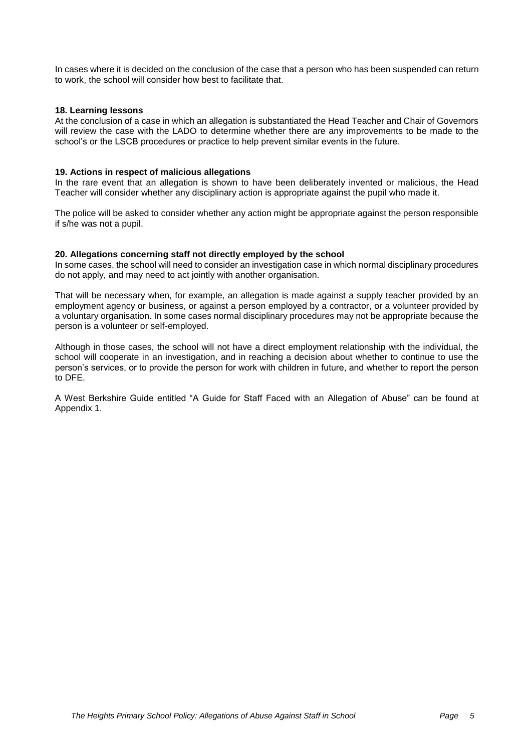In cases where it is decided on the conclusion of the case that a person who has been suspended can return to work, the school will consider how best to facilitate that.

# **18. Learning lessons**

At the conclusion of a case in which an allegation is substantiated the Head Teacher and Chair of Governors will review the case with the LADO to determine whether there are any improvements to be made to the school's or the LSCB procedures or practice to help prevent similar events in the future.

#### **19. Actions in respect of malicious allegations**

In the rare event that an allegation is shown to have been deliberately invented or malicious, the Head Teacher will consider whether any disciplinary action is appropriate against the pupil who made it.

The police will be asked to consider whether any action might be appropriate against the person responsible if s/he was not a pupil.

#### **20. Allegations concerning staff not directly employed by the school**

In some cases, the school will need to consider an investigation case in which normal disciplinary procedures do not apply, and may need to act jointly with another organisation.

That will be necessary when, for example, an allegation is made against a supply teacher provided by an employment agency or business, or against a person employed by a contractor, or a volunteer provided by a voluntary organisation. In some cases normal disciplinary procedures may not be appropriate because the person is a volunteer or self-employed.

Although in those cases, the school will not have a direct employment relationship with the individual, the school will cooperate in an investigation, and in reaching a decision about whether to continue to use the person's services, or to provide the person for work with children in future, and whether to report the person to DFE.

A West Berkshire Guide entitled "A Guide for Staff Faced with an Allegation of Abuse" can be found at Appendix 1.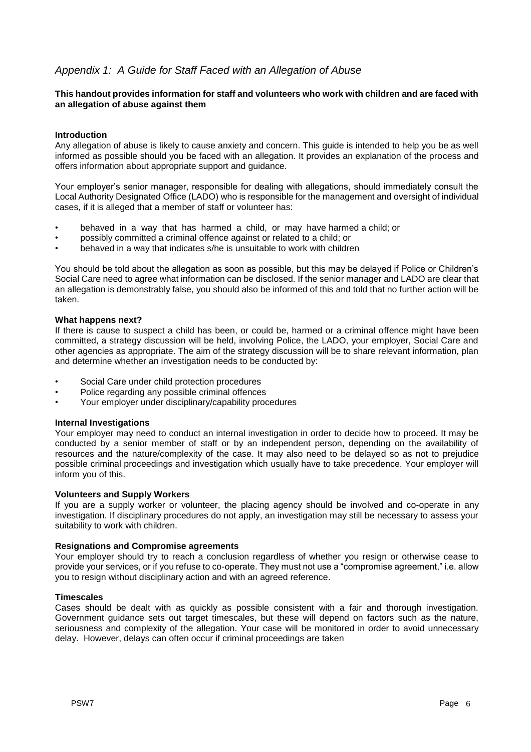# *Appendix 1: A Guide for Staff Faced with an Allegation of Abuse*

# **This handout provides information for staff and volunteers who work with children and are faced with an allegation of abuse against them**

# **Introduction**

Any allegation of abuse is likely to cause anxiety and concern. This guide is intended to help you be as well informed as possible should you be faced with an allegation. It provides an explanation of the process and offers information about appropriate support and guidance.

Your employer's senior manager, responsible for dealing with allegations, should immediately consult the Local Authority Designated Office (LADO) who is responsible for the management and oversight of individual cases, if it is alleged that a member of staff or volunteer has:

- behaved in a way that has harmed a child, or may have harmed a child; or
- possibly committed a criminal offence against or related to a child; or
- behaved in a way that indicates s/he is unsuitable to work with children

You should be told about the allegation as soon as possible, but this may be delayed if Police or Children's Social Care need to agree what information can be disclosed. If the senior manager and LADO are clear that an allegation is demonstrably false, you should also be informed of this and told that no further action will be taken.

# **What happens next?**

If there is cause to suspect a child has been, or could be, harmed or a criminal offence might have been committed, a strategy discussion will be held, involving Police, the LADO, your employer, Social Care and other agencies as appropriate. The aim of the strategy discussion will be to share relevant information, plan and determine whether an investigation needs to be conducted by:

- Social Care under child protection procedures
- Police regarding any possible criminal offences
- Your employer under disciplinary/capability procedures

# **Internal Investigations**

Your employer may need to conduct an internal investigation in order to decide how to proceed. It may be conducted by a senior member of staff or by an independent person, depending on the availability of resources and the nature/complexity of the case. It may also need to be delayed so as not to prejudice possible criminal proceedings and investigation which usually have to take precedence. Your employer will inform you of this.

# **Volunteers and Supply Workers**

If you are a supply worker or volunteer, the placing agency should be involved and co-operate in any investigation. If disciplinary procedures do not apply, an investigation may still be necessary to assess your suitability to work with children.

# **Resignations and Compromise agreements**

Your employer should try to reach a conclusion regardless of whether you resign or otherwise cease to provide your services, or if you refuse to co-operate. They must not use a "compromise agreement," i.e. allow you to resign without disciplinary action and with an agreed reference.

# **Timescales**

Cases should be dealt with as quickly as possible consistent with a fair and thorough investigation. Government guidance sets out target timescales, but these will depend on factors such as the nature, seriousness and complexity of the allegation. Your case will be monitored in order to avoid unnecessary delay. However, delays can often occur if criminal proceedings are taken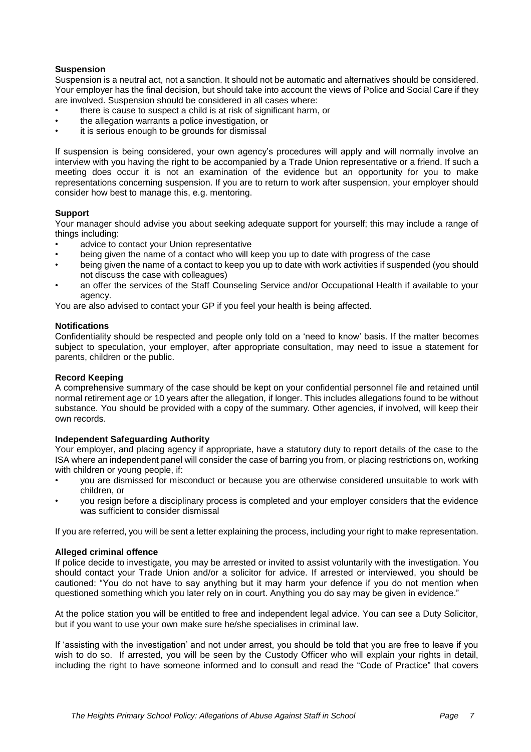# **Suspension**

Suspension is a neutral act, not a sanction. It should not be automatic and alternatives should be considered. Your employer has the final decision, but should take into account the views of Police and Social Care if they are involved. Suspension should be considered in all cases where:

- there is cause to suspect a child is at risk of significant harm, or
- the allegation warrants a police investigation, or
- it is serious enough to be grounds for dismissal

If suspension is being considered, your own agency's procedures will apply and will normally involve an interview with you having the right to be accompanied by a Trade Union representative or a friend. If such a meeting does occur it is not an examination of the evidence but an opportunity for you to make representations concerning suspension. If you are to return to work after suspension, your employer should consider how best to manage this, e.g. mentoring.

# **Support**

Your manager should advise you about seeking adequate support for yourself; this may include a range of things including:

- advice to contact your Union representative
- being given the name of a contact who will keep you up to date with progress of the case
- being given the name of a contact to keep you up to date with work activities if suspended (you should not discuss the case with colleagues)
- an offer the services of the Staff Counseling Service and/or Occupational Health if available to your agency.

You are also advised to contact your GP if you feel your health is being affected.

# **Notifications**

Confidentiality should be respected and people only told on a 'need to know' basis. If the matter becomes subject to speculation, your employer, after appropriate consultation, may need to issue a statement for parents, children or the public.

# **Record Keeping**

A comprehensive summary of the case should be kept on your confidential personnel file and retained until normal retirement age or 10 years after the allegation, if longer. This includes allegations found to be without substance. You should be provided with a copy of the summary. Other agencies, if involved, will keep their own records.

# **Independent Safeguarding Authority**

Your employer, and placing agency if appropriate, have a statutory duty to report details of the case to the ISA where an independent panel will consider the case of barring you from, or placing restrictions on, working with children or young people, if:

- you are dismissed for misconduct or because you are otherwise considered unsuitable to work with children, or
- you resign before a disciplinary process is completed and your employer considers that the evidence was sufficient to consider dismissal

If you are referred, you will be sent a letter explaining the process, including your right to make representation.

# **Alleged criminal offence**

If police decide to investigate, you may be arrested or invited to assist voluntarily with the investigation. You should contact your Trade Union and/or a solicitor for advice. If arrested or interviewed, you should be cautioned: "You do not have to say anything but it may harm your defence if you do not mention when questioned something which you later rely on in court. Anything you do say may be given in evidence."

At the police station you will be entitled to free and independent legal advice. You can see a Duty Solicitor, but if you want to use your own make sure he/she specialises in criminal law.

If 'assisting with the investigation' and not under arrest, you should be told that you are free to leave if you wish to do so. If arrested, you will be seen by the Custody Officer who will explain your rights in detail, including the right to have someone informed and to consult and read the "Code of Practice" that covers